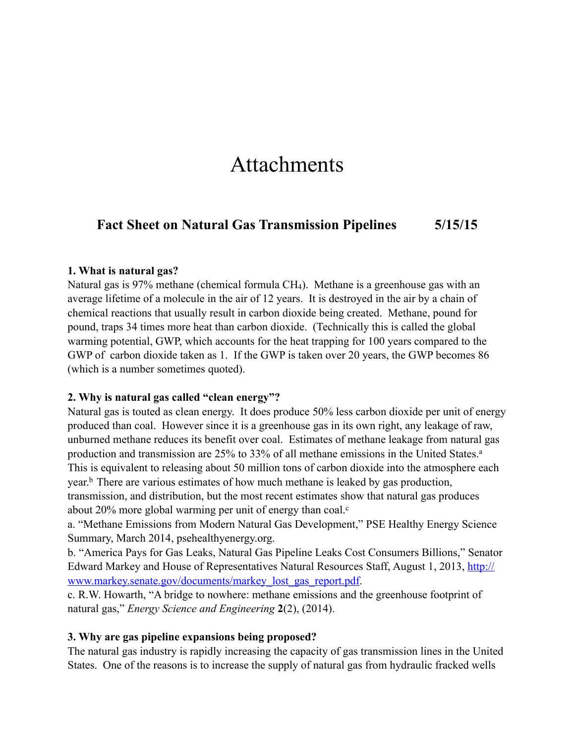# Attachments

# **Fact Sheet on Natural Gas Transmission Pipelines 5/15/15**

#### **1. What is natural gas?**

Natural gas is 97% methane (chemical formula CH4). Methane is a greenhouse gas with an average lifetime of a molecule in the air of 12 years. It is destroyed in the air by a chain of chemical reactions that usually result in carbon dioxide being created. Methane, pound for pound, traps 34 times more heat than carbon dioxide. (Technically this is called the global warming potential, GWP, which accounts for the heat trapping for 100 years compared to the GWP of carbon dioxide taken as 1. If the GWP is taken over 20 years, the GWP becomes 86 (which is a number sometimes quoted).

#### **2. Why is natural gas called "clean energy"?**

Natural gas is touted as clean energy. It does produce 50% less carbon dioxide per unit of energy produced than coal. However since it is a greenhouse gas in its own right, any leakage of raw, unburned methane reduces its benefit over coal. Estimates of methane leakage from natural gas production and transmission are 25% to 33% of all methane emissions in the United States.<sup>a</sup> This is equivalent to releasing about 50 million tons of carbon dioxide into the atmosphere each year.b There are various estimates of how much methane is leaked by gas production, transmission, and distribution, but the most recent estimates show that natural gas produces about 20% more global warming per unit of energy than coal. $c$ 

a. "Methane Emissions from Modern Natural Gas Development," PSE Healthy Energy Science Summary, March 2014, psehealthyenergy.org.

b. "America Pays for Gas Leaks, Natural Gas Pipeline Leaks Cost Consumers Billions," Senator [Edward Markey and House of Representatives Natural Resources Staff, August 1, 2013, http://](http://www.markey.senate.gov/documents/markey_lost_gas_report.pdf) www.markey.senate.gov/documents/markey\_lost\_gas\_report.pdf.

c. R.W. Howarth, "A bridge to nowhere: methane emissions and the greenhouse footprint of natural gas," *Energy Science and Engineering* **2**(2), (2014).

#### **3. Why are gas pipeline expansions being proposed?**

The natural gas industry is rapidly increasing the capacity of gas transmission lines in the United States. One of the reasons is to increase the supply of natural gas from hydraulic fracked wells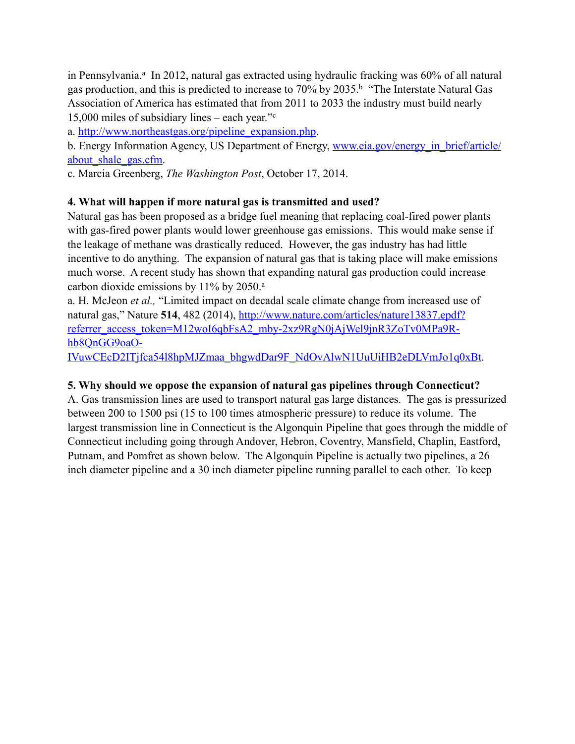in Pennsylvania.<sup>a</sup> In 2012, natural gas extracted using hydraulic fracking was 60% of all natural gas production, and this is predicted to increase to 70% by 2035.<sup>b</sup> "The Interstate Natural Gas Association of America has estimated that from 2011 to 2033 the industry must build nearly 15,000 miles of subsidiary lines – each year."c

a. [http://www.northeastgas.org/pipeline\\_expansion.php.](http://www.northeastgas.org/pipeline_expansion.php)

[b. Energy Information Agency, US Department of Energy, www.eia.gov/energy\\_in\\_brief/article/](http://www.eia.gov/energy_in_brief/article/about_shale_gas.cfm) about\_shale\_gas.cfm.

c. Marcia Greenberg, *The Washington Post*, October 17, 2014.

## **4. What will happen if more natural gas is transmitted and used?**

Natural gas has been proposed as a bridge fuel meaning that replacing coal-fired power plants with gas-fired power plants would lower greenhouse gas emissions. This would make sense if the leakage of methane was drastically reduced. However, the gas industry has had little incentive to do anything. The expansion of natural gas that is taking place will make emissions much worse. A recent study has shown that expanding natural gas production could increase carbon dioxide emissions by 11% by 2050.<sup>a</sup>

a. H. McJeon *et al.,* "Limited impact on decadal scale climate change from increased use of natural gas," Nature 514, 482 (2014), http://www.nature.com/articles/nature13837.epdf? referrer\_access\_token=M12woI6qbFsA2\_mby-2xz9RgN0jAjWel9jnR3ZoTv0MPa9Rhb8QnGG9oaO-

[IVuwCEcD2ITjfca54l8hpMJZmaa\\_bhgwdDar9F\\_NdOvAlwN1UuUiHB2eDLVmJo1q0xBt.](http://www.nature.com/articles/nature13837.epdf?referrer_access_token=M12woI6qbFsA2_mby-2xz9RgN0jAjWel9jnR3ZoTv0MPa9R-hb8QnGG9oaO-IVuwCEcD2ITjfca54l8hpMJZmaa_bhgwdDar9F_NdOvAlwN1UuUiHB2eDLVmJo1q0xBt)

#### **5. Why should we oppose the expansion of natural gas pipelines through Connecticut?**

A. Gas transmission lines are used to transport natural gas large distances. The gas is pressurized between 200 to 1500 psi (15 to 100 times atmospheric pressure) to reduce its volume. The largest transmission line in Connecticut is the Algonquin Pipeline that goes through the middle of Connecticut including going through Andover, Hebron, Coventry, Mansfield, Chaplin, Eastford, Putnam, and Pomfret as shown below. The Algonquin Pipeline is actually two pipelines, a 26 inch diameter pipeline and a 30 inch diameter pipeline running parallel to each other. To keep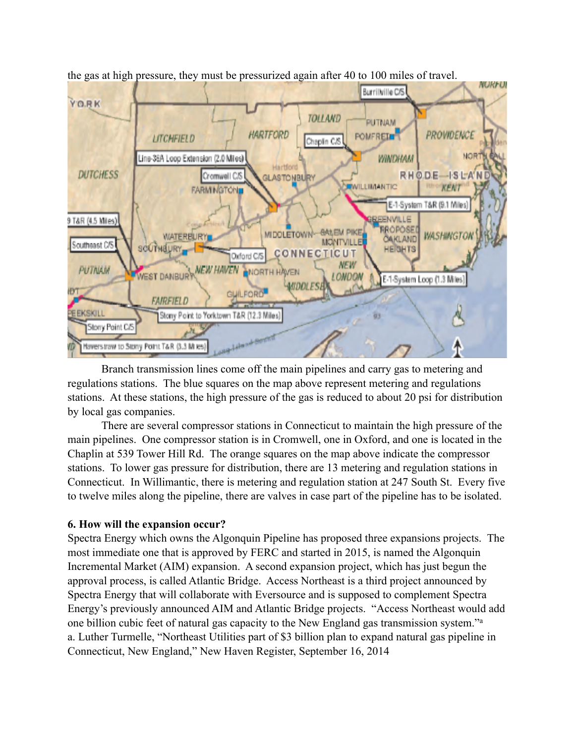

the gas at high pressure, they must be pressurized again after 40 to 100 miles of travel.

 Branch transmission lines come off the main pipelines and carry gas to metering and regulations stations. The blue squares on the map above represent metering and regulations stations. At these stations, the high pressure of the gas is reduced to about 20 psi for distribution by local gas companies.

 There are several compressor stations in Connecticut to maintain the high pressure of the main pipelines. One compressor station is in Cromwell, one in Oxford, and one is located in the Chaplin at 539 Tower Hill Rd. The orange squares on the map above indicate the compressor stations. To lower gas pressure for distribution, there are 13 metering and regulation stations in Connecticut. In Willimantic, there is metering and regulation station at 247 South St. Every five to twelve miles along the pipeline, there are valves in case part of the pipeline has to be isolated.

# **6. How will the expansion occur?**

Spectra Energy which owns the Algonquin Pipeline has proposed three expansions projects. The most immediate one that is approved by FERC and started in 2015, is named the Algonquin Incremental Market (AIM) expansion. A second expansion project, which has just begun the approval process, is called Atlantic Bridge. Access Northeast is a third project announced by Spectra Energy that will collaborate with Eversource and is supposed to complement Spectra Energy's previously announced AIM and Atlantic Bridge projects. "Access Northeast would add one billion cubic feet of natural gas capacity to the New England gas transmission system."a a. Luther Turmelle, "Northeast Utilities part of \$3 billion plan to expand natural gas pipeline in Connecticut, New England," New Haven Register, September 16, 2014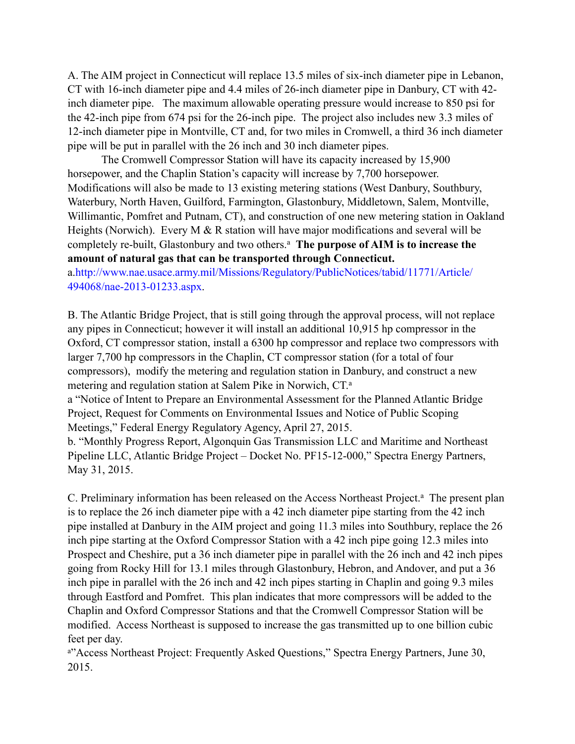A. The AIM project in Connecticut will replace 13.5 miles of six-inch diameter pipe in Lebanon, CT with 16-inch diameter pipe and 4.4 miles of 26-inch diameter pipe in Danbury, CT with 42 inch diameter pipe. The maximum allowable operating pressure would increase to 850 psi for the 42-inch pipe from 674 psi for the 26-inch pipe. The project also includes new 3.3 miles of 12-inch diameter pipe in Montville, CT and, for two miles in Cromwell, a third 36 inch diameter pipe will be put in parallel with the 26 inch and 30 inch diameter pipes.

 The Cromwell Compressor Station will have its capacity increased by 15,900 horsepower, and the Chaplin Station's capacity will increase by 7,700 horsepower. Modifications will also be made to 13 existing metering stations (West Danbury, Southbury, Waterbury, North Haven, Guilford, Farmington, Glastonbury, Middletown, Salem, Montville, Willimantic, Pomfret and Putnam, CT), and construction of one new metering station in Oakland Heights (Norwich). Every M & R station will have major modifications and several will be completely re-built, Glastonbury and two others.<sup>a</sup> The purpose of AIM is to increase the **amount of natural gas that can be transported through Connecticut.** 

a.http://www.nae.usace.army.mil/Missions/Regulatory/PublicNotices/tabid/11771/Article/ 494068/nae-2013-01233.aspx.

B. The Atlantic Bridge Project, that is still going through the approval process, will not replace any pipes in Connecticut; however it will install an additional 10,915 hp compressor in the Oxford, CT compressor station, install a 6300 hp compressor and replace two compressors with larger 7,700 hp compressors in the Chaplin, CT compressor station (for a total of four compressors), modify the metering and regulation station in Danbury, and construct a new metering and regulation station at Salem Pike in Norwich, CT.a

a "Notice of Intent to Prepare an Environmental Assessment for the Planned Atlantic Bridge Project, Request for Comments on Environmental Issues and Notice of Public Scoping Meetings," Federal Energy Regulatory Agency, April 27, 2015.

b. "Monthly Progress Report, Algonquin Gas Transmission LLC and Maritime and Northeast Pipeline LLC, Atlantic Bridge Project – Docket No. PF15-12-000," Spectra Energy Partners, May 31, 2015.

C. Preliminary information has been released on the Access Northeast Project.<sup>a</sup> The present plan is to replace the 26 inch diameter pipe with a 42 inch diameter pipe starting from the 42 inch pipe installed at Danbury in the AIM project and going 11.3 miles into Southbury, replace the 26 inch pipe starting at the Oxford Compressor Station with a 42 inch pipe going 12.3 miles into Prospect and Cheshire, put a 36 inch diameter pipe in parallel with the 26 inch and 42 inch pipes going from Rocky Hill for 13.1 miles through Glastonbury, Hebron, and Andover, and put a 36 inch pipe in parallel with the 26 inch and 42 inch pipes starting in Chaplin and going 9.3 miles through Eastford and Pomfret. This plan indicates that more compressors will be added to the Chaplin and Oxford Compressor Stations and that the Cromwell Compressor Station will be modified. Access Northeast is supposed to increase the gas transmitted up to one billion cubic feet per day.

a"Access Northeast Project: Frequently Asked Questions," Spectra Energy Partners, June 30, 2015.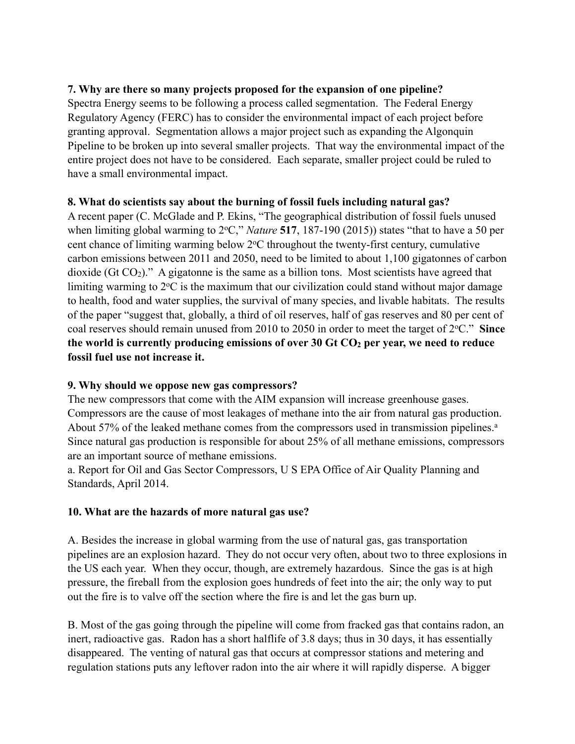## **7. Why are there so many projects proposed for the expansion of one pipeline?**

Spectra Energy seems to be following a process called segmentation. The Federal Energy Regulatory Agency (FERC) has to consider the environmental impact of each project before granting approval. Segmentation allows a major project such as expanding the Algonquin Pipeline to be broken up into several smaller projects. That way the environmental impact of the entire project does not have to be considered. Each separate, smaller project could be ruled to have a small environmental impact.

#### **8. What do scientists say about the burning of fossil fuels including natural gas?**

A recent paper (C. McGlade and P. Ekins, "The geographical distribution of fossil fuels unused when limiting global warming to 2°C," *Nature* 517, 187-190 (2015)) states "that to have a 50 per cent chance of limiting warming below  $2^{\circ}$ C throughout the twenty-first century, cumulative carbon emissions between 2011 and 2050, need to be limited to about 1,100 gigatonnes of carbon dioxide (Gt  $CO<sub>2</sub>$ )." A gigatonne is the same as a billion tons. Most scientists have agreed that limiting warming to  $2^{\circ}$ C is the maximum that our civilization could stand without major damage to health, food and water supplies, the survival of many species, and livable habitats. The results of the paper "suggest that, globally, a third of oil reserves, half of gas reserves and 80 per cent of coal reserves should remain unused from 2010 to 2050 in order to meet the target of 2oC." **Since**  the world is currently producing emissions of over 30 Gt CO<sub>2</sub> per year, we need to reduce **fossil fuel use not increase it.** 

## **9. Why should we oppose new gas compressors?**

The new compressors that come with the AIM expansion will increase greenhouse gases. Compressors are the cause of most leakages of methane into the air from natural gas production. About 57% of the leaked methane comes from the compressors used in transmission pipelines.<sup>a</sup> Since natural gas production is responsible for about 25% of all methane emissions, compressors are an important source of methane emissions.

a. Report for Oil and Gas Sector Compressors, U S EPA Office of Air Quality Planning and Standards, April 2014.

## **10. What are the hazards of more natural gas use?**

A. Besides the increase in global warming from the use of natural gas, gas transportation pipelines are an explosion hazard. They do not occur very often, about two to three explosions in the US each year. When they occur, though, are extremely hazardous. Since the gas is at high pressure, the fireball from the explosion goes hundreds of feet into the air; the only way to put out the fire is to valve off the section where the fire is and let the gas burn up.

B. Most of the gas going through the pipeline will come from fracked gas that contains radon, an inert, radioactive gas. Radon has a short halflife of 3.8 days; thus in 30 days, it has essentially disappeared. The venting of natural gas that occurs at compressor stations and metering and regulation stations puts any leftover radon into the air where it will rapidly disperse. A bigger